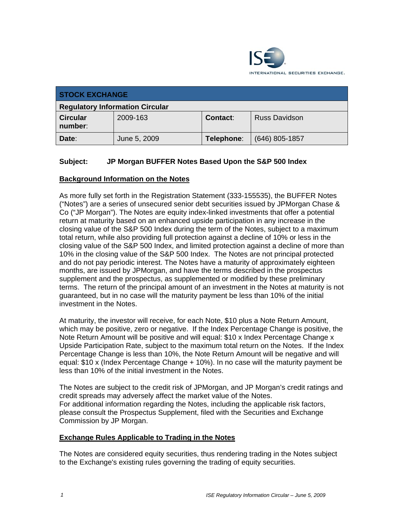

| <b>STOCK EXCHANGE</b>                  |              |            |                      |
|----------------------------------------|--------------|------------|----------------------|
| <b>Regulatory Information Circular</b> |              |            |                      |
| <b>Circular</b><br>number:             | 2009-163     | Contact:   | <b>Russ Davidson</b> |
| Date:                                  | June 5, 2009 | Telephone: | $(646)$ 805-1857     |

# **Subject: JP Morgan BUFFER Notes Based Upon the S&P 500 Index**

## **Background Information on the Notes**

As more fully set forth in the Registration Statement (333-155535), the BUFFER Notes ("Notes") are a series of unsecured senior debt securities issued by JPMorgan Chase & Co ("JP Morgan"). The Notes are equity index-linked investments that offer a potential return at maturity based on an enhanced upside participation in any increase in the closing value of the S&P 500 Index during the term of the Notes, subject to a maximum total return, while also providing full protection against a decline of 10% or less in the closing value of the S&P 500 Index, and limited protection against a decline of more than 10% in the closing value of the S&P 500 Index. The Notes are not principal protected and do not pay periodic interest. The Notes have a maturity of approximately eighteen months, are issued by JPMorgan, and have the terms described in the prospectus supplement and the prospectus, as supplemented or modified by these preliminary terms. The return of the principal amount of an investment in the Notes at maturity is not guaranteed, but in no case will the maturity payment be less than 10% of the initial investment in the Notes.

At maturity, the investor will receive, for each Note, \$10 plus a Note Return Amount, which may be positive, zero or negative. If the Index Percentage Change is positive, the Note Return Amount will be positive and will equal: \$10 x Index Percentage Change x Upside Participation Rate, subject to the maximum total return on the Notes. If the Index Percentage Change is less than 10%, the Note Return Amount will be negative and will equal: \$10 x (Index Percentage Change + 10%). In no case will the maturity payment be less than 10% of the initial investment in the Notes.

The Notes are subject to the credit risk of JPMorgan, and JP Morgan's credit ratings and credit spreads may adversely affect the market value of the Notes. For additional information regarding the Notes, including the applicable risk factors, please consult the Prospectus Supplement, filed with the Securities and Exchange Commission by JP Morgan.

#### **Exchange Rules Applicable to Trading in the Notes**

The Notes are considered equity securities, thus rendering trading in the Notes subject to the Exchange's existing rules governing the trading of equity securities.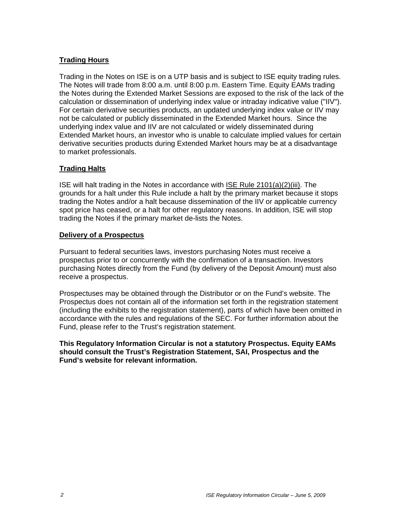## **Trading Hours**

Trading in the Notes on ISE is on a UTP basis and is subject to ISE equity trading rules. The Notes will trade from 8:00 a.m. until 8:00 p.m. Eastern Time. Equity EAMs trading the Notes during the Extended Market Sessions are exposed to the risk of the lack of the calculation or dissemination of underlying index value or intraday indicative value ("IIV"). For certain derivative securities products, an updated underlying index value or IIV may not be calculated or publicly disseminated in the Extended Market hours. Since the underlying index value and IIV are not calculated or widely disseminated during Extended Market hours, an investor who is unable to calculate implied values for certain derivative securities products during Extended Market hours may be at a disadvantage to market professionals.

#### **Trading Halts**

ISE will halt trading in the Notes in accordance with ISE Rule 2101(a)(2)(iii). The grounds for a halt under this Rule include a halt by the primary market because it stops trading the Notes and/or a halt because dissemination of the IIV or applicable currency spot price has ceased, or a halt for other regulatory reasons. In addition, ISE will stop trading the Notes if the primary market de-lists the Notes.

#### **Delivery of a Prospectus**

Pursuant to federal securities laws, investors purchasing Notes must receive a prospectus prior to or concurrently with the confirmation of a transaction. Investors purchasing Notes directly from the Fund (by delivery of the Deposit Amount) must also receive a prospectus.

Prospectuses may be obtained through the Distributor or on the Fund's website. The Prospectus does not contain all of the information set forth in the registration statement (including the exhibits to the registration statement), parts of which have been omitted in accordance with the rules and regulations of the SEC. For further information about the Fund, please refer to the Trust's registration statement.

**This Regulatory Information Circular is not a statutory Prospectus. Equity EAMs should consult the Trust's Registration Statement, SAI, Prospectus and the Fund's website for relevant information.**